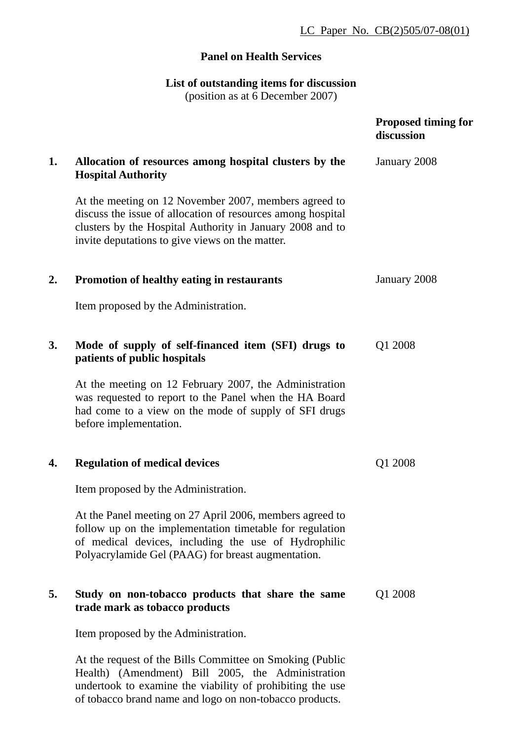## LC Paper No. CB(2)505/07-08(01)

## **Panel on Health Services**

## **List of outstanding items for discussion**

(position as at 6 December 2007)

|    |                                                                                                                                                                                                                                      | <b>Proposed timing for</b><br>discussion |
|----|--------------------------------------------------------------------------------------------------------------------------------------------------------------------------------------------------------------------------------------|------------------------------------------|
| 1. | Allocation of resources among hospital clusters by the<br><b>Hospital Authority</b>                                                                                                                                                  | January 2008                             |
|    | At the meeting on 12 November 2007, members agreed to<br>discuss the issue of allocation of resources among hospital<br>clusters by the Hospital Authority in January 2008 and to<br>invite deputations to give views on the matter. |                                          |
| 2. | <b>Promotion of healthy eating in restaurants</b>                                                                                                                                                                                    | January 2008                             |
|    | Item proposed by the Administration.                                                                                                                                                                                                 |                                          |
| 3. | Mode of supply of self-financed item (SFI) drugs to<br>patients of public hospitals                                                                                                                                                  | Q1 2008                                  |
|    | At the meeting on 12 February 2007, the Administration<br>was requested to report to the Panel when the HA Board<br>had come to a view on the mode of supply of SFI drugs<br>before implementation.                                  |                                          |
| 4. | <b>Regulation of medical devices</b>                                                                                                                                                                                                 | Q1 2008                                  |
|    | Item proposed by the Administration.                                                                                                                                                                                                 |                                          |
|    | At the Panel meeting on 27 April 2006, members agreed to<br>follow up on the implementation timetable for regulation<br>of medical devices, including the use of Hydrophilic<br>Polyacrylamide Gel (PAAG) for breast augmentation.   |                                          |
| 5. | Study on non-tobacco products that share the same<br>trade mark as tobacco products                                                                                                                                                  | Q1 2008                                  |
|    | Item proposed by the Administration.                                                                                                                                                                                                 |                                          |
|    | At the request of the Bills Committee on Smoking (Public<br>Health) (Amendment) Bill 2005, the Administration                                                                                                                        |                                          |

undertook to examine the viability of prohibiting the use of tobacco brand name and logo on non-tobacco products.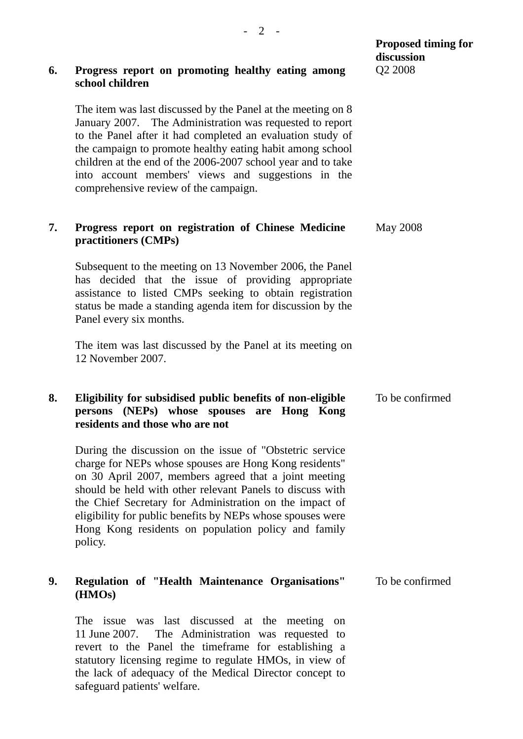| 6. | Progress report on promoting healthy eating among<br>school children                                                                                                                                                                                                                                                                                                                                                                 | discussion<br>Q2 2008 |
|----|--------------------------------------------------------------------------------------------------------------------------------------------------------------------------------------------------------------------------------------------------------------------------------------------------------------------------------------------------------------------------------------------------------------------------------------|-----------------------|
|    | The item was last discussed by the Panel at the meeting on 8<br>January 2007. The Administration was requested to report<br>to the Panel after it had completed an evaluation study of<br>the campaign to promote healthy eating habit among school<br>children at the end of the 2006-2007 school year and to take<br>into account members' views and suggestions in the<br>comprehensive review of the campaign.                   |                       |
| 7. | Progress report on registration of Chinese Medicine<br>practitioners (CMPs)                                                                                                                                                                                                                                                                                                                                                          | <b>May 2008</b>       |
|    | Subsequent to the meeting on 13 November 2006, the Panel<br>has decided that the issue of providing appropriate<br>assistance to listed CMPs seeking to obtain registration<br>status be made a standing agenda item for discussion by the<br>Panel every six months.                                                                                                                                                                |                       |
|    | The item was last discussed by the Panel at its meeting on<br>12 November 2007.                                                                                                                                                                                                                                                                                                                                                      |                       |
| 8. | Eligibility for subsidised public benefits of non-eligible<br>persons (NEPs) whose spouses are Hong Kong<br>residents and those who are not                                                                                                                                                                                                                                                                                          | To be confirmed       |
|    | During the discussion on the issue of "Obstetric service"<br>charge for NEPs whose spouses are Hong Kong residents"<br>on 30 April 2007, members agreed that a joint meeting<br>should be held with other relevant Panels to discuss with<br>the Chief Secretary for Administration on the impact of<br>eligibility for public benefits by NEPs whose spouses were<br>Hong Kong residents on population policy and family<br>policy. |                       |
| 9. | Regulation of "Health Maintenance Organisations"<br>(HMOs)                                                                                                                                                                                                                                                                                                                                                                           | To be confirmed       |
|    | The issue was last discussed at the meeting<br>on<br>11 June 2007. The Administration was requested to<br>revert to the Panel the timeframe for establishing a<br>statutory licensing regime to regulate HMOs, in view of<br>the lack of adequacy of the Medical Director concept to<br>safeguard patients' welfare.                                                                                                                 |                       |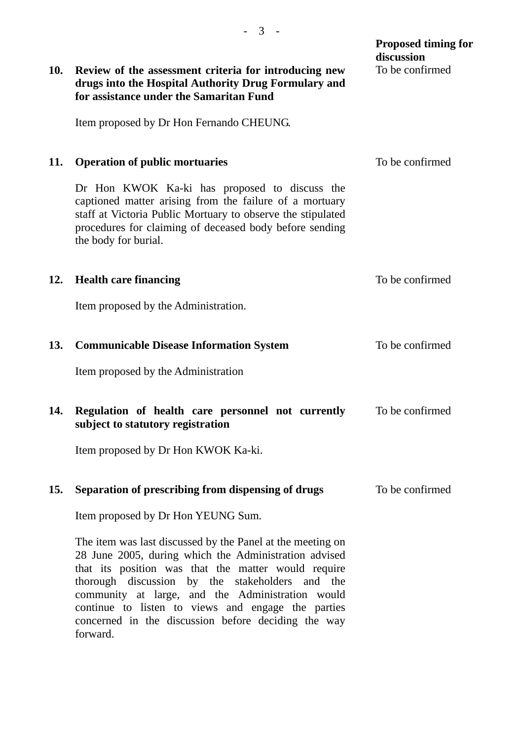| 10. | Review of the assessment criteria for introducing new                                                                                                                                                                                                                                                                                                                                                      | <b>Proposed timing for</b><br>discussion<br>To be confirmed |
|-----|------------------------------------------------------------------------------------------------------------------------------------------------------------------------------------------------------------------------------------------------------------------------------------------------------------------------------------------------------------------------------------------------------------|-------------------------------------------------------------|
|     | drugs into the Hospital Authority Drug Formulary and<br>for assistance under the Samaritan Fund                                                                                                                                                                                                                                                                                                            |                                                             |
|     | Item proposed by Dr Hon Fernando CHEUNG.                                                                                                                                                                                                                                                                                                                                                                   |                                                             |
| 11. | <b>Operation of public mortuaries</b>                                                                                                                                                                                                                                                                                                                                                                      | To be confirmed                                             |
|     | Dr Hon KWOK Ka-ki has proposed to discuss the<br>captioned matter arising from the failure of a mortuary<br>staff at Victoria Public Mortuary to observe the stipulated<br>procedures for claiming of deceased body before sending<br>the body for burial.                                                                                                                                                 |                                                             |
| 12. | <b>Health care financing</b>                                                                                                                                                                                                                                                                                                                                                                               | To be confirmed                                             |
|     | Item proposed by the Administration.                                                                                                                                                                                                                                                                                                                                                                       |                                                             |
| 13. | <b>Communicable Disease Information System</b>                                                                                                                                                                                                                                                                                                                                                             | To be confirmed                                             |
|     | Item proposed by the Administration                                                                                                                                                                                                                                                                                                                                                                        |                                                             |
| 14. | Regulation of health care personnel not currently<br>subject to statutory registration                                                                                                                                                                                                                                                                                                                     | To be confirmed                                             |
|     | Item proposed by Dr Hon KWOK Ka-ki.                                                                                                                                                                                                                                                                                                                                                                        |                                                             |
| 15. | Separation of prescribing from dispensing of drugs                                                                                                                                                                                                                                                                                                                                                         | To be confirmed                                             |
|     | Item proposed by Dr Hon YEUNG Sum.                                                                                                                                                                                                                                                                                                                                                                         |                                                             |
|     | The item was last discussed by the Panel at the meeting on<br>28 June 2005, during which the Administration advised<br>that its position was that the matter would require<br>thorough discussion by the stakeholders and the<br>community at large, and the Administration would<br>continue to listen to views and engage the parties<br>concerned in the discussion before deciding the way<br>forward. |                                                             |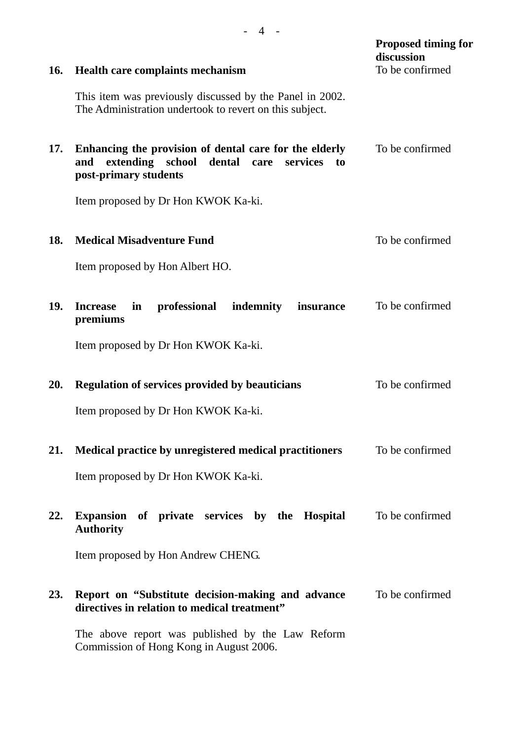| <b>16.</b> | Health care complaints mechanism                                                                                                         | <b>Proposed timing for</b><br>discussion<br>To be confirmed |
|------------|------------------------------------------------------------------------------------------------------------------------------------------|-------------------------------------------------------------|
|            | This item was previously discussed by the Panel in 2002.<br>The Administration undertook to revert on this subject.                      |                                                             |
| 17.        | Enhancing the provision of dental care for the elderly<br>extending school dental care<br>and<br>services<br>to<br>post-primary students | To be confirmed                                             |
|            | Item proposed by Dr Hon KWOK Ka-ki.                                                                                                      |                                                             |
| 18.        | <b>Medical Misadventure Fund</b>                                                                                                         | To be confirmed                                             |
|            | Item proposed by Hon Albert HO.                                                                                                          |                                                             |
| 19.        | professional<br>indemnity<br><b>Increase</b><br>in<br>insurance<br>premiums                                                              | To be confirmed                                             |
|            | Item proposed by Dr Hon KWOK Ka-ki.                                                                                                      |                                                             |
| 20.        | <b>Regulation of services provided by beauticians</b><br>Item proposed by Dr Hon KWOK Ka-ki.                                             | To be confirmed                                             |
|            |                                                                                                                                          |                                                             |
| 21.        | Medical practice by unregistered medical practitioners                                                                                   | To be confirmed                                             |
|            | Item proposed by Dr Hon KWOK Ka-ki.                                                                                                      |                                                             |
| 22.        | Expansion of private services by the Hospital<br><b>Authority</b>                                                                        | To be confirmed                                             |
|            | Item proposed by Hon Andrew CHENG.                                                                                                       |                                                             |
| 23.        | Report on "Substitute decision-making and advance"<br>directives in relation to medical treatment"                                       | To be confirmed                                             |
|            | The above report was published by the Law Reform<br>Commission of Hong Kong in August 2006.                                              |                                                             |